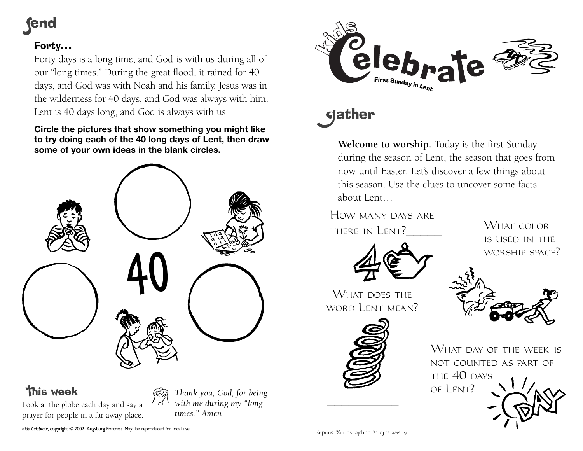## **rend**

### Forty…

Forty days is a long time, and God is with us during all of our "long times." During the great flood, it rained for 40 days, and God was with Noah and his family. Jesus was in the wilderness for 40 days, and God was always with him. Lent is 40 days long, and God is always with us.

**Circle the pictures that show something you might like to try doing each of the 40 long days of Lent, then draw some of your own ideas in the blank circles.**



## **This week**

*Thank you, God, for being*

*with me during my "long times." Amen*

*Kids Celebrate,* copyright © 2002 Augsburg Fortress. May be reproduced for local use.

Look at the globe each day and say a prayer for people in a far-away place.



# **gather**

**Welcome to worship.** Today is the first Sunday during the season of Lent, the season that goes from now until Easter. Let's discover a few things about this season. Use the clues to uncover some facts about Lent…

How many days arethere in Lent?\_\_\_\_\_



WHAT DOES THE word Lent mean?







WHAT DAY OF THE WEEK IS not counted as part ofTHE 40 DAYS of Lent?